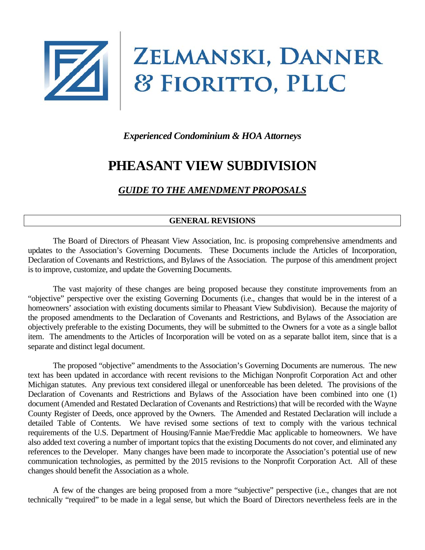

# *Experienced Condominium & HOA Attorneys*

# **PHEASANT VIEW SUBDIVISION**

# *GUIDE TO THE AMENDMENT PROPOSALS*

#### **GENERAL REVISIONS**

The Board of Directors of Pheasant View Association, Inc. is proposing comprehensive amendments and updates to the Association's Governing Documents. These Documents include the Articles of Incorporation, Declaration of Covenants and Restrictions, and Bylaws of the Association. The purpose of this amendment project is to improve, customize, and update the Governing Documents.

The vast majority of these changes are being proposed because they constitute improvements from an "objective" perspective over the existing Governing Documents (i.e., changes that would be in the interest of a homeowners' association with existing documents similar to Pheasant View Subdivision). Because the majority of the proposed amendments to the Declaration of Covenants and Restrictions, and Bylaws of the Association are objectively preferable to the existing Documents, they will be submitted to the Owners for a vote as a single ballot item. The amendments to the Articles of Incorporation will be voted on as a separate ballot item, since that is a separate and distinct legal document.

The proposed "objective" amendments to the Association's Governing Documents are numerous. The new text has been updated in accordance with recent revisions to the Michigan Nonprofit Corporation Act and other Michigan statutes. Any previous text considered illegal or unenforceable has been deleted. The provisions of the Declaration of Covenants and Restrictions and Bylaws of the Association have been combined into one (1) document (Amended and Restated Declaration of Covenants and Restrictions) that will be recorded with the Wayne County Register of Deeds, once approved by the Owners. The Amended and Restated Declaration will include a detailed Table of Contents. We have revised some sections of text to comply with the various technical requirements of the U.S. Department of Housing/Fannie Mae/Freddie Mac applicable to homeowners. We have also added text covering a number of important topics that the existing Documents do not cover, and eliminated any references to the Developer. Many changes have been made to incorporate the Association's potential use of new communication technologies, as permitted by the 2015 revisions to the Nonprofit Corporation Act. All of these changes should benefit the Association as a whole.

A few of the changes are being proposed from a more "subjective" perspective (i.e., changes that are not technically "required" to be made in a legal sense, but which the Board of Directors nevertheless feels are in the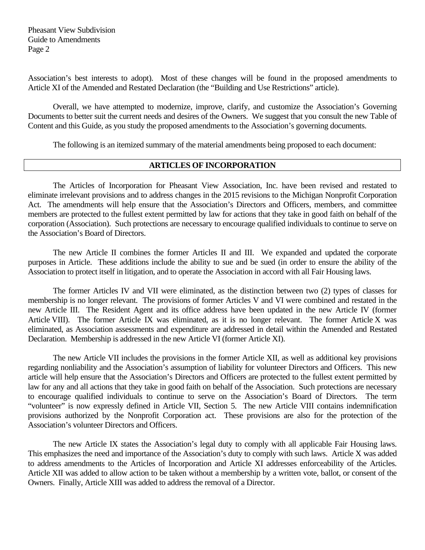Pheasant View Subdivision Guide to Amendments Page 2

Association's best interests to adopt). Most of these changes will be found in the proposed amendments to Article XI of the Amended and Restated Declaration (the "Building and Use Restrictions" article).

Overall, we have attempted to modernize, improve, clarify, and customize the Association's Governing Documents to better suit the current needs and desires of the Owners. We suggest that you consult the new Table of Content and this Guide, as you study the proposed amendments to the Association's governing documents.

The following is an itemized summary of the material amendments being proposed to each document:

#### **ARTICLES OF INCORPORATION**

The Articles of Incorporation for Pheasant View Association, Inc. have been revised and restated to eliminate irrelevant provisions and to address changes in the 2015 revisions to the Michigan Nonprofit Corporation Act. The amendments will help ensure that the Association's Directors and Officers, members, and committee members are protected to the fullest extent permitted by law for actions that they take in good faith on behalf of the corporation (Association). Such protections are necessary to encourage qualified individuals to continue to serve on the Association's Board of Directors.

The new Article II combines the former Articles II and III. We expanded and updated the corporate purposes in Article. These additions include the ability to sue and be sued (in order to ensure the ability of the Association to protect itself in litigation, and to operate the Association in accord with all Fair Housing laws.

The former Articles IV and VII were eliminated, as the distinction between two (2) types of classes for membership is no longer relevant. The provisions of former Articles V and VI were combined and restated in the new Article III. The Resident Agent and its office address have been updated in the new Article IV (former Article VIII). The former Article IX was eliminated, as it is no longer relevant. The former Article X was eliminated, as Association assessments and expenditure are addressed in detail within the Amended and Restated Declaration. Membership is addressed in the new Article VI (former Article XI).

The new Article VII includes the provisions in the former Article XII, as well as additional key provisions regarding nonliability and the Association's assumption of liability for volunteer Directors and Officers. This new article will help ensure that the Association's Directors and Officers are protected to the fullest extent permitted by law for any and all actions that they take in good faith on behalf of the Association. Such protections are necessary to encourage qualified individuals to continue to serve on the Association's Board of Directors. The term "volunteer" is now expressly defined in Article VII, Section 5. The new Article VIII contains indemnification provisions authorized by the Nonprofit Corporation act. These provisions are also for the protection of the Association's volunteer Directors and Officers.

The new Article IX states the Association's legal duty to comply with all applicable Fair Housing laws. This emphasizes the need and importance of the Association's duty to comply with such laws. Article X was added to address amendments to the Articles of Incorporation and Article XI addresses enforceability of the Articles. Article XII was added to allow action to be taken without a membership by a written vote, ballot, or consent of the Owners. Finally, Article XIII was added to address the removal of a Director.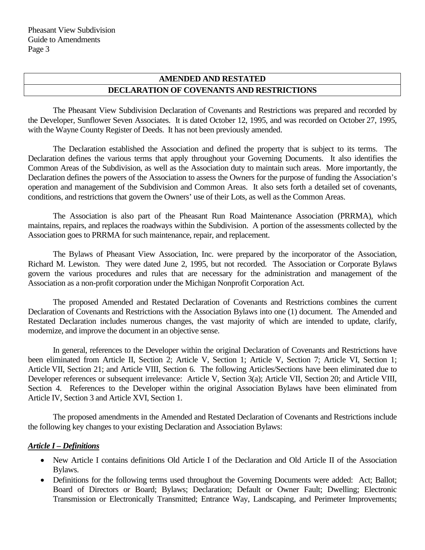## **AMENDED AND RESTATED DECLARATION OF COVENANTS AND RESTRICTIONS**

The Pheasant View Subdivision Declaration of Covenants and Restrictions was prepared and recorded by the Developer, Sunflower Seven Associates. It is dated October 12, 1995, and was recorded on October 27, 1995, with the Wayne County Register of Deeds. It has not been previously amended.

The Declaration established the Association and defined the property that is subject to its terms. The Declaration defines the various terms that apply throughout your Governing Documents. It also identifies the Common Areas of the Subdivision, as well as the Association duty to maintain such areas. More importantly, the Declaration defines the powers of the Association to assess the Owners for the purpose of funding the Association's operation and management of the Subdivision and Common Areas. It also sets forth a detailed set of covenants, conditions, and restrictions that govern the Owners' use of their Lots, as well as the Common Areas.

The Association is also part of the Pheasant Run Road Maintenance Association (PRRMA), which maintains, repairs, and replaces the roadways within the Subdivision. A portion of the assessments collected by the Association goes to PRRMA for such maintenance, repair, and replacement.

The Bylaws of Pheasant View Association, Inc. were prepared by the incorporator of the Association, Richard M. Lewiston. They were dated June 2, 1995, but not recorded. The Association or Corporate Bylaws govern the various procedures and rules that are necessary for the administration and management of the Association as a non-profit corporation under the Michigan Nonprofit Corporation Act.

The proposed Amended and Restated Declaration of Covenants and Restrictions combines the current Declaration of Covenants and Restrictions with the Association Bylaws into one (1) document. The Amended and Restated Declaration includes numerous changes, the vast majority of which are intended to update, clarify, modernize, and improve the document in an objective sense.

In general, references to the Developer within the original Declaration of Covenants and Restrictions have been eliminated from Article II, Section 2; Article V, Section 1; Article V, Section 7; Article VI, Section 1; Article VII, Section 21; and Article VIII, Section 6. The following Articles/Sections have been eliminated due to Developer references or subsequent irrelevance: Article V, Section 3(a); Article VII, Section 20; and Article VIII, Section 4. References to the Developer within the original Association Bylaws have been eliminated from Article IV, Section 3 and Article XVI, Section 1.

The proposed amendments in the Amended and Restated Declaration of Covenants and Restrictions include the following key changes to your existing Declaration and Association Bylaws:

#### *Article I – Definitions*

- New Article I contains definitions Old Article I of the Declaration and Old Article II of the Association Bylaws.
- Definitions for the following terms used throughout the Governing Documents were added: Act; Ballot; Board of Directors or Board; Bylaws; Declaration; Default or Owner Fault; Dwelling; Electronic Transmission or Electronically Transmitted; Entrance Way, Landscaping, and Perimeter Improvements;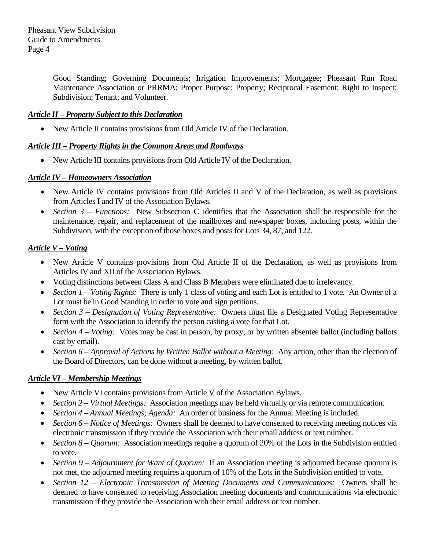Good Standing; Governing Documents; Irrigation Improvements; Mortgagee; Pheasant Run Road Maintenance Association or PRRMA; Proper Purpose; Property; Reciprocal Easement; Right to Inspect; Subdivision; Tenant; and Volunteer.

## *Article II – Property Subject to this Declaration*

• New Article II contains provisions from Old Article IV of the Declaration.

## *Article III – Property Rights in the Common Areas and Roadways*

• New Article III contains provisions from Old Article IV of the Declaration.

## *Article IV – Homeowners Association*

- New Article IV contains provisions from Old Articles II and V of the Declaration, as well as provisions from Articles I and IV of the Association Bylaws.
- *Section 3 Functions:* New Subsection C identifies that the Association shall be responsible for the maintenance, repair, and replacement of the mailboxes and newspaper boxes, including posts, within the Subdivision, with the exception of those boxes and posts for Lots 34, 87, and 122.

## *Article V – Voting*

- New Article V contains provisions from Old Article II of the Declaration, as well as provisions from Articles IV and XII of the Association Bylaws.
- Voting distinctions between Class A and Class B Members were eliminated due to irrelevancy.
- *Section 1 Voting Rights:* There is only 1 class of voting and each Lot is entitled to 1 vote. An Owner of a Lot must be in Good Standing in order to vote and sign petitions.
- *Section 3 Designation of Voting Representative:* Owners must file a Designated Voting Representative form with the Association to identify the person casting a vote for that Lot.
- *Section 4 Voting:* Votes may be cast in person, by proxy, or by written absentee ballot (including ballots cast by email).
- *Section 6 – Approval of Actions by Written Ballot without a Meeting:* Any action, other than the election of the Board of Directors, can be done without a meeting, by written ballot.

## *Article VI – Membership Meetings*

- New Article VI contains provisions from Article V of the Association Bylaws.
- *Section 2 Virtual Meetings:* Association meetings may be held virtually or via remote communication.
- *Section 4 Annual Meetings; Agenda:* An order of business for the Annual Meeting is included.
- *Section 6 Notice of Meetings:* Owners shall be deemed to have consented to receiving meeting notices via electronic transmission if they provide the Association with their email address or text number.
- *Section 8 Quorum:* Association meetings require a quorum of 20% of the Lots in the Subdivision entitled to vote.
- *Section 9 Adjournment for Want of Quorum:* If an Association meeting is adjourned because quorum is not met, the adjourned meeting requires a quorum of 10% of the Lots in the Subdivision entitled to vote.
- *Section 12 – Electronic Transmission of Meeting Documents and Communications:* Owners shall be deemed to have consented to receiving Association meeting documents and communications via electronic transmission if they provide the Association with their email address or text number.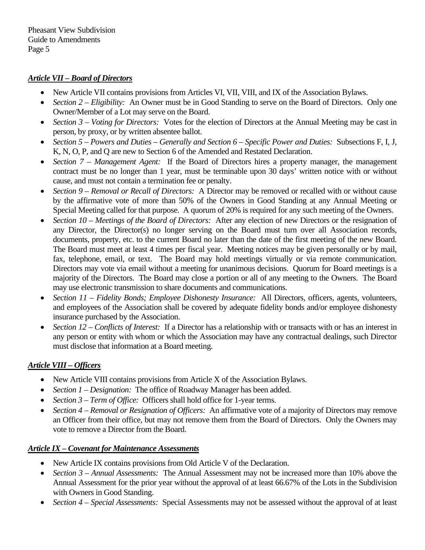#### *Article VII – Board of Directors*

- New Article VII contains provisions from Articles VI, VII, VIII, and IX of the Association Bylaws.
- *Section 2 Eligibility:* An Owner must be in Good Standing to serve on the Board of Directors. Only one Owner/Member of a Lot may serve on the Board.
- *Section 3 Voting for Directors:* Votes for the election of Directors at the Annual Meeting may be cast in person, by proxy, or by written absentee ballot.
- *Section 5 – Powers and Duties – Generally and Section 6 – Specific Power and Duties:* Subsections F, I, J, K, N, O, P, and Q are new to Section 6 of the Amended and Restated Declaration.
- *Section 7 Management Agent:* If the Board of Directors hires a property manager, the management contract must be no longer than 1 year, must be terminable upon 30 days' written notice with or without cause, and must not contain a termination fee or penalty.
- *Section 9 – Removal or Recall of Directors:* A Director may be removed or recalled with or without cause by the affirmative vote of more than 50% of the Owners in Good Standing at any Annual Meeting or Special Meeting called for that purpose. A quorum of 20% is required for any such meeting of the Owners.
- *Section 10 Meetings of the Board of Directors:* After any election of new Directors or the resignation of any Director, the Director(s) no longer serving on the Board must turn over all Association records, documents, property, etc. to the current Board no later than the date of the first meeting of the new Board. The Board must meet at least 4 times per fiscal year. Meeting notices may be given personally or by mail, fax, telephone, email, or text. The Board may hold meetings virtually or via remote communication. Directors may vote via email without a meeting for unanimous decisions. Quorum for Board meetings is a majority of the Directors. The Board may close a portion or all of any meeting to the Owners. The Board may use electronic transmission to share documents and communications.
- *Section 11 – Fidelity Bonds; Employee Dishonesty Insurance:* All Directors, officers, agents, volunteers, and employees of the Association shall be covered by adequate fidelity bonds and/or employee dishonesty insurance purchased by the Association.
- *Section 12 Conflicts of Interest:* If a Director has a relationship with or transacts with or has an interest in any person or entity with whom or which the Association may have any contractual dealings, such Director must disclose that information at a Board meeting.

#### *Article VIII – Officers*

- New Article VIII contains provisions from Article X of the Association Bylaws.
- *Section 1 Designation:* The office of Roadway Manager has been added.
- *Section 3 Term of Office:* Officers shall hold office for 1-year terms.
- *Section 4 Removal or Resignation of Officers:* An affirmative vote of a majority of Directors may remove an Officer from their office, but may not remove them from the Board of Directors. Only the Owners may vote to remove a Director from the Board.

#### *Article IX – Covenant for Maintenance Assessments*

- New Article IX contains provisions from Old Article V of the Declaration.
- *Section 3 Annual Assessments:* The Annual Assessment may not be increased more than 10% above the Annual Assessment for the prior year without the approval of at least 66.67% of the Lots in the Subdivision with Owners in Good Standing.
- *Section 4 Special Assessments:* Special Assessments may not be assessed without the approval of at least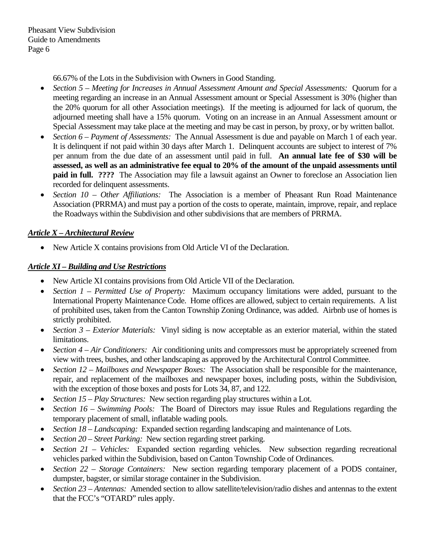66.67% of the Lots in the Subdivision with Owners in Good Standing.

- *Section 5 – Meeting for Increases in Annual Assessment Amount and Special Assessments:* Quorum for a meeting regarding an increase in an Annual Assessment amount or Special Assessment is 30% (higher than the 20% quorum for all other Association meetings). If the meeting is adjourned for lack of quorum, the adjourned meeting shall have a 15% quorum. Voting on an increase in an Annual Assessment amount or Special Assessment may take place at the meeting and may be cast in person, by proxy, or by written ballot.
- *Section 6 – Payment of Assessments:* The Annual Assessment is due and payable on March 1 of each year. It is delinquent if not paid within 30 days after March 1. Delinquent accounts are subject to interest of 7% per annum from the due date of an assessment until paid in full. **An annual late fee of \$30 will be assessed, as well as an administrative fee equal to 20% of the amount of the unpaid assessments until paid in full. ????** The Association may file a lawsuit against an Owner to foreclose an Association lien recorded for delinquent assessments.
- *Section 10 – Other Affiliations:* The Association is a member of Pheasant Run Road Maintenance Association (PRRMA) and must pay a portion of the costs to operate, maintain, improve, repair, and replace the Roadways within the Subdivision and other subdivisions that are members of PRRMA.

## *Article X – Architectural Review*

• New Article X contains provisions from Old Article VI of the Declaration.

## *Article XI – Building and Use Restrictions*

- New Article XI contains provisions from Old Article VII of the Declaration.
- *Section 1 Permitted Use of Property:* Maximum occupancy limitations were added, pursuant to the International Property Maintenance Code. Home offices are allowed, subject to certain requirements. A list of prohibited uses, taken from the Canton Township Zoning Ordinance, was added. Airbnb use of homes is strictly prohibited.
- *Section 3 Exterior Materials:* Vinyl siding is now acceptable as an exterior material, within the stated limitations.
- *Section 4 Air Conditioners:* Air conditioning units and compressors must be appropriately screened from view with trees, bushes, and other landscaping as approved by the Architectural Control Committee.
- *Section 12 – Mailboxes and Newspaper Boxes:* The Association shall be responsible for the maintenance, repair, and replacement of the mailboxes and newspaper boxes, including posts, within the Subdivision, with the exception of those boxes and posts for Lots 34, 87, and 122.
- *Section 15 Play Structures:* New section regarding play structures within a Lot.
- *Section 16 – Swimming Pools:* The Board of Directors may issue Rules and Regulations regarding the temporary placement of small, inflatable wading pools.
- *Section 18 – Landscaping:* Expanded section regarding landscaping and maintenance of Lots.
- *Section 20 Street Parking:* New section regarding street parking.
- *Section 21 Vehicles:* Expanded section regarding vehicles. New subsection regarding recreational vehicles parked within the Subdivision, based on Canton Township Code of Ordinances.
- *Section 22 – Storage Containers:* New section regarding temporary placement of a PODS container, dumpster, bagster, or similar storage container in the Subdivision.
- *Section 23 – Antennas:* Amended section to allow satellite/television/radio dishes and antennas to the extent that the FCC's "OTARD" rules apply.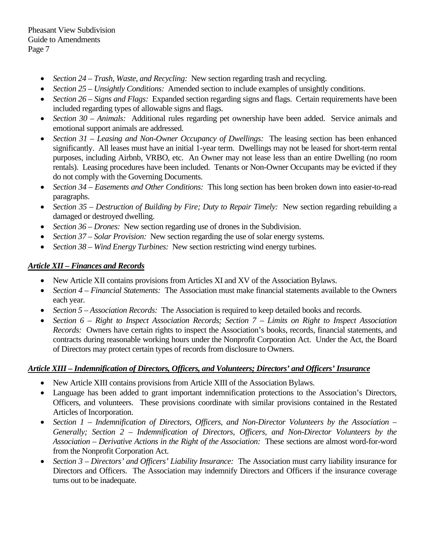- *Section 24 Trash, Waste, and Recycling:* New section regarding trash and recycling.
- *Section 25 – Unsightly Conditions:* Amended section to include examples of unsightly conditions.
- *Section 26 Signs and Flags:* Expanded section regarding signs and flags. Certain requirements have been included regarding types of allowable signs and flags.
- *Section 30 Animals:* Additional rules regarding pet ownership have been added. Service animals and emotional support animals are addressed.
- *Section 31 – Leasing and Non-Owner Occupancy of Dwellings:* The leasing section has been enhanced significantly. All leases must have an initial 1-year term. Dwellings may not be leased for short-term rental purposes, including Airbnb, VRBO, etc. An Owner may not lease less than an entire Dwelling (no room rentals). Leasing procedures have been included. Tenants or Non-Owner Occupants may be evicted if they do not comply with the Governing Documents.
- *Section 34 Easements and Other Conditions:* This long section has been broken down into easier-to-read paragraphs.
- *Section 35 – Destruction of Building by Fire; Duty to Repair Timely:* New section regarding rebuilding a damaged or destroyed dwelling.
- *Section* 36 *Drones:* New section regarding use of drones in the Subdivision.
- *Section 37 Solar Provision:* New section regarding the use of solar energy systems.
- *Section 38 Wind Energy Turbines:* New section restricting wind energy turbines.

## *Article XII – Finances and Records*

- New Article XII contains provisions from Articles XI and XV of the Association Bylaws.
- *Section 4 Financial Statements:* The Association must make financial statements available to the Owners each year.
- *Section 5 – Association Records:* The Association is required to keep detailed books and records.
- *Section 6 – Right to Inspect Association Records; Section 7 – Limits on Right to Inspect Association Records:* Owners have certain rights to inspect the Association's books, records, financial statements, and contracts during reasonable working hours under the Nonprofit Corporation Act. Under the Act, the Board of Directors may protect certain types of records from disclosure to Owners.

## *Article XIII – Indemnification of Directors, Officers, and Volunteers; Directors' and Officers' Insurance*

- New Article XIII contains provisions from Article XIII of the Association Bylaws.
- Language has been added to grant important indemnification protections to the Association's Directors, Officers, and volunteers. These provisions coordinate with similar provisions contained in the Restated Articles of Incorporation.
- *Section 1 – Indemnification of Directors, Officers, and Non-Director Volunteers by the Association – Generally; Section 2 – Indemnification of Directors, Officers, and Non-Director Volunteers by the Association – Derivative Actions in the Right of the Association:* These sections are almost word-for-word from the Nonprofit Corporation Act.
- *Section 3 – Directors' and Officers' Liability Insurance:* The Association must carry liability insurance for Directors and Officers. The Association may indemnify Directors and Officers if the insurance coverage turns out to be inadequate.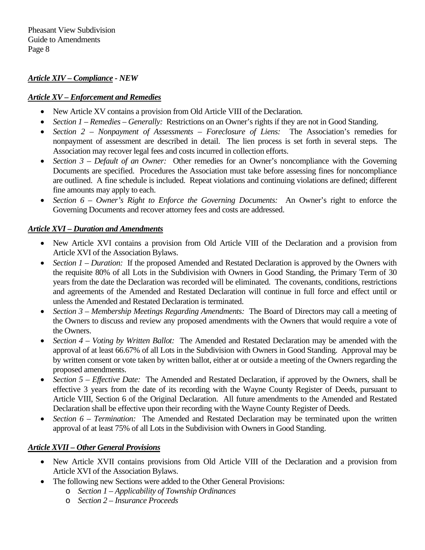#### *Article XIV – Compliance - NEW*

#### *Article XV – Enforcement and Remedies*

- New Article XV contains a provision from Old Article VIII of the Declaration.
- *Section 1 Remedies Generally:* Restrictions on an Owner's rights if they are not in Good Standing.
- *Section 2 – Nonpayment of Assessments – Foreclosure of Liens:* The Association's remedies for nonpayment of assessment are described in detail. The lien process is set forth in several steps. The Association may recover legal fees and costs incurred in collection efforts.
- *Section 3 Default of an Owner:* Other remedies for an Owner's noncompliance with the Governing Documents are specified. Procedures the Association must take before assessing fines for noncompliance are outlined. A fine schedule is included. Repeat violations and continuing violations are defined; different fine amounts may apply to each.
- *Section 6 – Owner's Right to Enforce the Governing Documents:* An Owner's right to enforce the Governing Documents and recover attorney fees and costs are addressed.

## *Article XVI – Duration and Amendments*

- New Article XVI contains a provision from Old Article VIII of the Declaration and a provision from Article XVI of the Association Bylaws.
- *Section 1 Duration:* If the proposed Amended and Restated Declaration is approved by the Owners with the requisite 80% of all Lots in the Subdivision with Owners in Good Standing, the Primary Term of 30 years from the date the Declaration was recorded will be eliminated. The covenants, conditions, restrictions and agreements of the Amended and Restated Declaration will continue in full force and effect until or unless the Amended and Restated Declaration is terminated.
- *Section 3 – Membership Meetings Regarding Amendments:* The Board of Directors may call a meeting of the Owners to discuss and review any proposed amendments with the Owners that would require a vote of the Owners.
- *Section 4 – Voting by Written Ballot:* The Amended and Restated Declaration may be amended with the approval of at least 66.67% of all Lots in the Subdivision with Owners in Good Standing. Approval may be by written consent or vote taken by written ballot, either at or outside a meeting of the Owners regarding the proposed amendments.
- *Section 5 Effective Date:* The Amended and Restated Declaration, if approved by the Owners, shall be effective 3 years from the date of its recording with the Wayne County Register of Deeds, pursuant to Article VIII, Section 6 of the Original Declaration. All future amendments to the Amended and Restated Declaration shall be effective upon their recording with the Wayne County Register of Deeds.
- *Section 6 Termination:* The Amended and Restated Declaration may be terminated upon the written approval of at least 75% of all Lots in the Subdivision with Owners in Good Standing.

## *Article XVII – Other General Provisions*

- New Article XVII contains provisions from Old Article VIII of the Declaration and a provision from Article XVI of the Association Bylaws.
- The following new Sections were added to the Other General Provisions:
	- o *Section 1 – Applicability of Township Ordinances*
	- o *Section 2 – Insurance Proceeds*